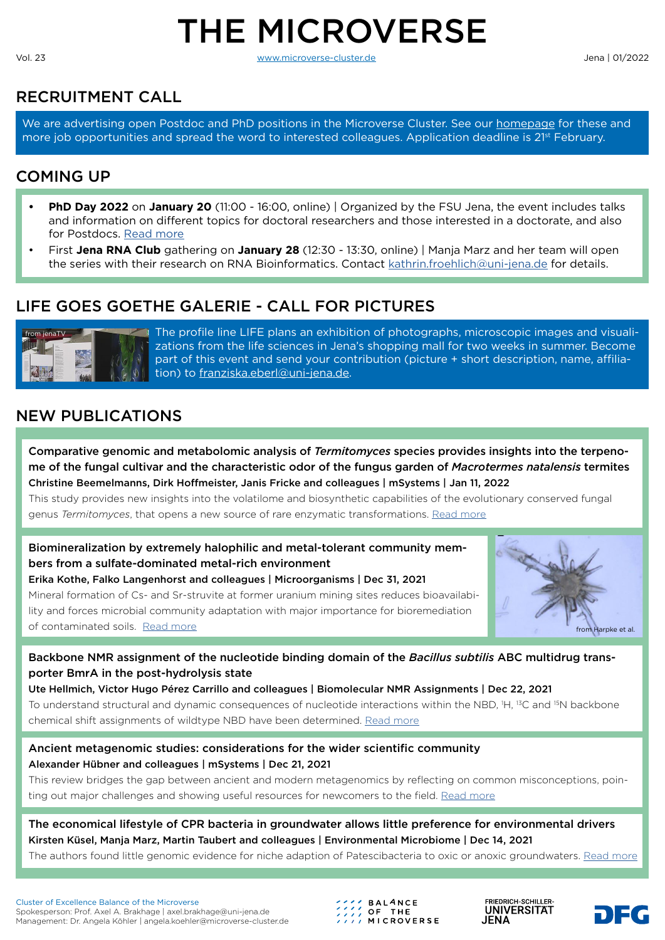# THE MICROVERSE

Vol. 23 [www.microverse-cluster.de](https://microverse-cluster.de/en/) Jena | 01/2022

# RECRUITMENT CALL

We are advertising open Postdoc and PhD positions in the Microverse Cluster. See our [homepage](https://microverse-cluster.de/en/jobs.html) for these and more job opportunities and spread the word to interested colleagues. Application deadline is 2<sup>1st</sup> February.

# COMING UP

- **• PhD Day 2022** on **January 20** (11:00 16:00, online) | Organized by the FSU Jena, the event includes talks and information on different topics for doctoral researchers and those interested in a doctorate, and also for Postdocs. [Read more](https://www.uni-jena.de/en/phd_day)
- First **Jena RNA Club** gathering on **January 28** (12:30 13:30, online) | Manja Marz and her team will open the series with their research on RNA Bioinformatics. Contact [kathrin.froehlich@uni-jena.de](mailto:kathrin.froehlich%40uni-jena.de?subject=) for details.

# LIFE GOES GOETHE GALERIE - CALL FOR PICTURES



The profile line LIFE plans an exhibition of photographs, microscopic images and visualizations from the life sciences in Jena's shopping mall for two weeks in summer. Become part of this event and send your contribution (picture + short description, name, affiliation) to [franziska.eberl@uni-jena.de.](mailto:franziska.eberl%40uni-jena.de?subject=)

# NEW PUBLICATIONS

Comparative genomic and metabolomic analysis of *Termitomyces* species provides insights into the terpenome of the fungal cultivar and the characteristic odor of the fungus garden of *Macrotermes natalensis* termites Christine Beemelmanns, Dirk Hoffmeister, Janis Fricke and colleagues | mSystems | Jan 11, 2022

This study provides new insights into the volatilome and biosynthetic capabilities of the evolutionary conserved fungal genus *Termitomyces*, that opens a new source of rare enzymatic transformations. [Read more](https://journals.asm.org/doi/10.1128/msystems.01214-21)

Biomineralization by extremely halophilic and metal-tolerant community members from a sulfate-dominated metal-rich environment

Erika Kothe, Falko Langenhorst and colleagues | Microorganisms | Dec 31, 2021 Mineral formation of Cs- and Sr-struvite at former uranium mining sites reduces bioavailability and forces microbial community adaptation with major importance for bioremediation of contaminated soils. [Read more](https://www.mdpi.com/2076-2607/10/1/79/htm)



## Backbone NMR assignment of the nucleotide binding domain of the *Bacillus subtilis* ABC multidrug transporter BmrA in the post-hydrolysis state

Ute Hellmich, Victor Hugo Pérez Carrillo and colleagues | Biomolecular NMR Assignments | Dec 22, 2021 To understand structural and dynamic consequences of nucleotide interactions within the NBD, <sup>1</sup>H, <sup>13</sup>C and <sup>15</sup>N backbone chemical shift assignments of wildtype NBD have been determined. [Read more](https://link.springer.com/article/10.1007%2Fs12104-021-10063-2)

#### Ancient metagenomic studies: considerations for the wider scientific community Alexander Hübner and colleagues | mSystems | Dec 21, 2021

This review bridges the gap between ancient and modern metagenomics by reflecting on common misconceptions, pointing out major challenges and showing useful resources for newcomers to the field. [Read more](https://pubmed.ncbi.nlm.nih.gov/34931883/)

The economical lifestyle of CPR bacteria in groundwater allows little preference for environmental drivers Kirsten Küsel, Manja Marz, Martin Taubert and colleagues | Environmental Microbiome | Dec 14, 2021

The authors found little genomic evidence for niche adaption of Patescibacteria to oxic or anoxic groundwaters. [Read more](https://environmentalmicrobiome.biomedcentral.com/articles/10.1186/s40793-021-00395-w)

Cluster of Excellence Balance of the Microverse Spokesperson: Prof. Axel A. Brakhage | [axel.brakhage@uni-jena.de](mailto:axel.brakhage%40uni-jena.de?subject=) Management: Dr. Angela Köhler | [angela.koehler@microverse-cluster.de](mailto:angela.koehler%40microverse-cluster.de%20?subject=) 

**BALANCE** *CONSIDE THE*<br> *CONSIDE* THE